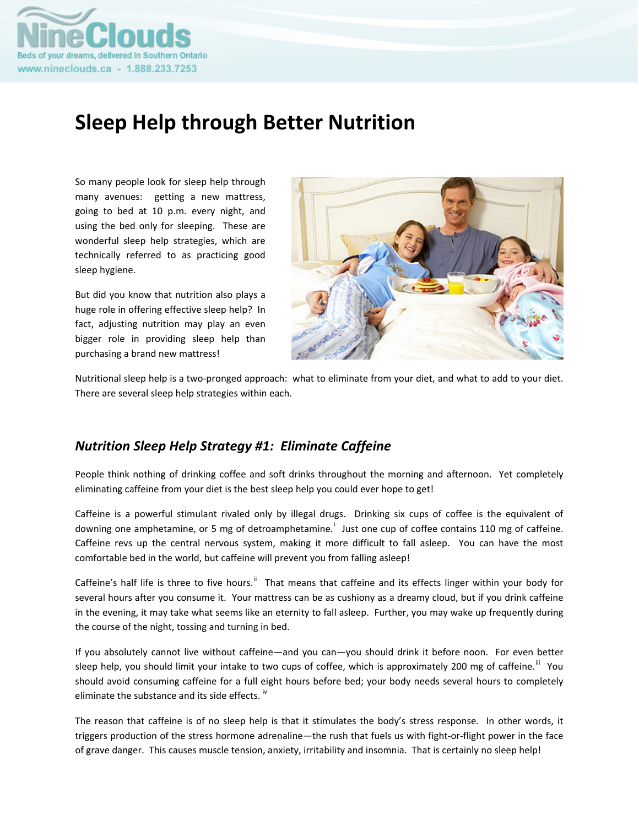

# **Sleep Help through Better Nutrition**

So many people look for sleep help through many avenues: getting a new mattress, going to bed at 10 p.m. every night, and using the bed only for sleeping. These are wonderful sleep help strategies, which are technically referred to as practicing good sleep hygiene.

But did you know that nutrition also plays a huge role in offering effective sleep help? In fact, adjusting nutrition may play an even bigger role in providing sleep help than purchasing a brand new mattress!



Nutritional sleep help is a two‐pronged approach: what to eliminate from your diet, and what to add to your diet. There are several sleep help strategies within each.

# *Nutrition Sleep Help Strategy #1: Eliminate Caffeine*

People think nothing of drinking coffee and soft drinks throughout the morning and afternoon. Yet completely eliminating caffeine from your diet is the best sleep help you could ever hope to get!

Caffeine is a powerful stimulant rivaled only by illegal drugs. Drinking six cups of coffee is the equivalent of down[i](#page-5-0)ng one amphetamine, or 5 mg of detroamphetamine.<sup>i</sup> Just one cup of coffee contains 110 mg of caffeine. Caffeine revs up the central nervous system, making it more difficult to fall asleep. You can have the most comfortable bed in the world, but caffeine will prevent you from falling asleep!

Caffeine's half life is three to five hours.<sup>[ii](#page-5-1)</sup> That means that caffeine and its effects linger within your body for several hours after you consume it. Your mattress can be as cushiony as a dreamy cloud, but if you drink caffeine in the evening, it may take what seems like an eternity to fall asleep. Further, you may wake up frequently during the course of the night, tossing and turning in bed.

If you absolutely cannot live without caffeine—and you can—you should drink it before noon. For even better sleep help, you should limit your intake to two cups of coffee, which is approximately 200 mg of caffeine.<sup>ii</sup> You should avoid consuming caffeine for a full eight hours before bed; your body needs several hours to completely eliminate the substance and its side effects.  $\frac{1}{10}$ 

The reason that caffeine is of no sleep help is that it stimulates the body's stress response. In other words, it triggers production of the stress hormone adrenaline—the rush that fuels us with fight‐or‐flight power in the face of grave danger. This causes muscle tension, anxiety, irritability and insomnia. That is certainly no sleep help!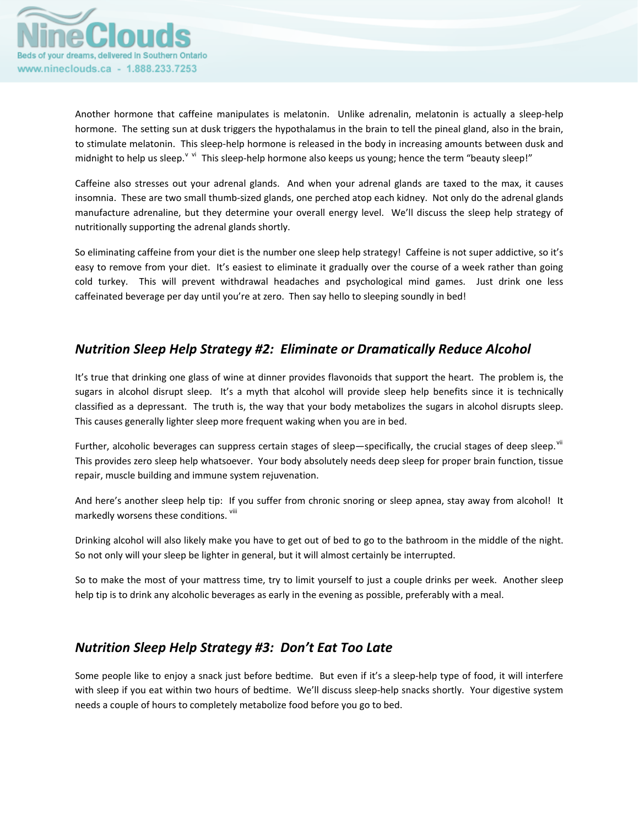

Another hormone that caffeine manipulates is melatonin. Unlike adrenalin, melatonin is actually a sleep-help hormone. The setting sun at dusk triggers the hypothalamus in the brain to tell the pineal gland, also in the brain, to stimulate melatonin. This sleep-help hormone is released in the body in increasing amounts between dusk and midnight to help us sleep.<sup>[v](#page-5-1) [vi](#page-5-1)</sup> This sleep-help hormone also keeps us young; hence the term "beauty sleep!"

Caffeine also stresses out your adrenal glands. And when your adrenal glands are taxed to the max, it causes insomnia. These are two small thumb-sized glands, one perched atop each kidney. Not only do the adrenal glands manufacture adrenaline, but they determine your overall energy level. We'll discuss the sleep help strategy of nutritionally supporting the adrenal glands shortly.

So eliminating caffeine from your diet is the number one sleep help strategy! Caffeine is not super addictive, so it's easy to remove from your diet. It's easiest to eliminate it gradually over the course of a week rather than going cold turkey. This will prevent withdrawal headaches and psychological mind games. Just drink one less caffeinated beverage per day until you're at zero. Then say hello to sleeping soundly in bed!

# *Nutrition Sleep Help Strategy #2: Eliminate or Dramatically Reduce Alcohol*

It's true that drinking one glass of wine at dinner provides flavonoids that support the heart. The problem is, the sugars in alcohol disrupt sleep. It's a myth that alcohol will provide sleep help benefits since it is technically classified as a depressant. The truth is, the way that your body metabolizes the sugars in alcohol disrupts sleep. This causes generally lighter sleep more frequent waking when you are in bed.

Further, alcoholic beverages can suppress certain stages of sleep—specifically, the crucial stages of deep sleep.<sup>[vii](#page-5-1)</sup> This provides zero sleep help whatsoever. Your body absolutely needs deep sleep for proper brain function, tissue repair, muscle building and immune system rejuvenation.

And here's another sleep help tip: If you suffer from chronic snoring or sleep apnea, stay away from alcohol! It markedly worsens these conditions. Vill

Drinking alcohol will also likely make you have to get out of bed to go to the bathroom in the middle of the night. So not only will your sleep be lighter in general, but it will almost certainly be interrupted.

So to make the most of your mattress time, try to limit yourself to just a couple drinks per week. Another sleep help tip is to drink any alcoholic beverages as early in the evening as possible, preferably with a meal.

# *Nutrition Sleep Help Strategy #3: Don't Eat Too Late*

Some people like to enjoy a snack just before bedtime. But even if it's a sleep-help type of food, it will interfere with sleep if you eat within two hours of bedtime. We'll discuss sleep-help snacks shortly. Your digestive system needs a couple of hours to completely metabolize food before you go to bed.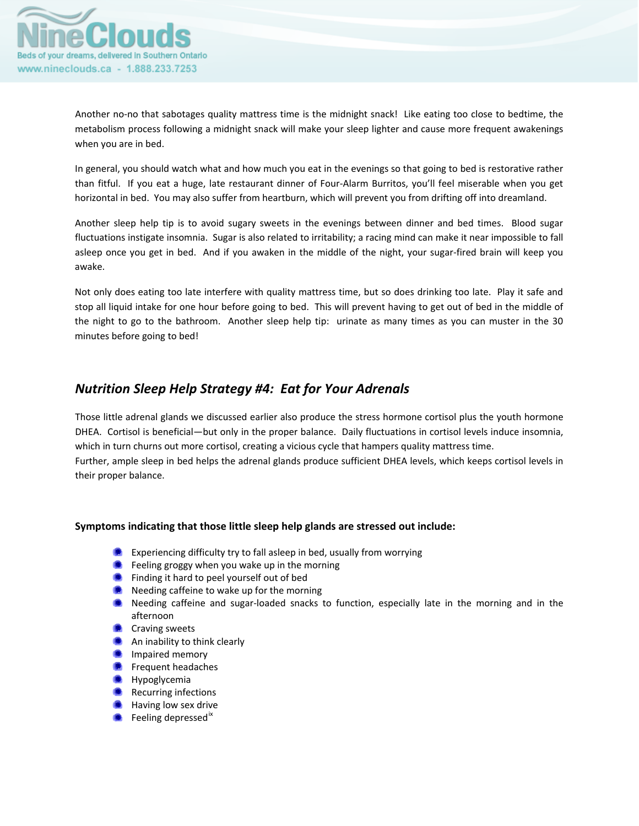

Another no‐no that sabotages quality mattress time is the midnight snack! Like eating too close to bedtime, the metabolism process following a midnight snack will make your sleep lighter and cause more frequent awakenings when you are in bed.

In general, you should watch what and how much you eat in the evenings so that going to bed is restorative rather than fitful. If you eat a huge, late restaurant dinner of Four‐Alarm Burritos, you'll feel miserable when you get horizontal in bed. You may also suffer from heartburn, which will prevent you from drifting off into dreamland.

Another sleep help tip is to avoid sugary sweets in the evenings between dinner and bed times. Blood sugar fluctuations instigate insomnia. Sugar is also related to irritability; a racing mind can make it near impossible to fall asleep once you get in bed. And if you awaken in the middle of the night, your sugar-fired brain will keep you awake.

Not only does eating too late interfere with quality mattress time, but so does drinking too late. Play it safe and stop all liquid intake for one hour before going to bed. This will prevent having to get out of bed in the middle of the night to go to the bathroom. Another sleep help tip: urinate as many times as you can muster in the 30 minutes before going to bed!

## *Nutrition Sleep Help Strategy #4: Eat for Your Adrenals*

Those little adrenal glands we discussed earlier also produce the stress hormone cortisol plus the youth hormone DHEA. Cortisol is beneficial—but only in the proper balance. Daily fluctuations in cortisol levels induce insomnia, which in turn churns out more cortisol, creating a vicious cycle that hampers quality mattress time. Further, ample sleep in bed helps the adrenal glands produce sufficient DHEA levels, which keeps cortisol levels in

their proper balance.

#### **Symptoms indicating that those little sleep help glands are stressed out include:**

- $\bullet$  Experiencing difficulty try to fall asleep in bed, usually from worrying
- **F** Feeling groggy when you wake up in the morning
- **Finding it hard to peel yourself out of bed**
- $\blacksquare$  Needing caffeine to wake up for the morning
- **Needing caffeine and sugar-loaded snacks to function, especially late in the morning and in the** afternoon
- **Craving sweets**
- **An inability to think clearly**
- **Impaired memory**
- **Figure 1** Frequent headaches
- **Hypoglycemia**
- **Recurring infections**
- **Having low sex drive**
- $\bullet$  Feeling depressed<sup>1x</sup>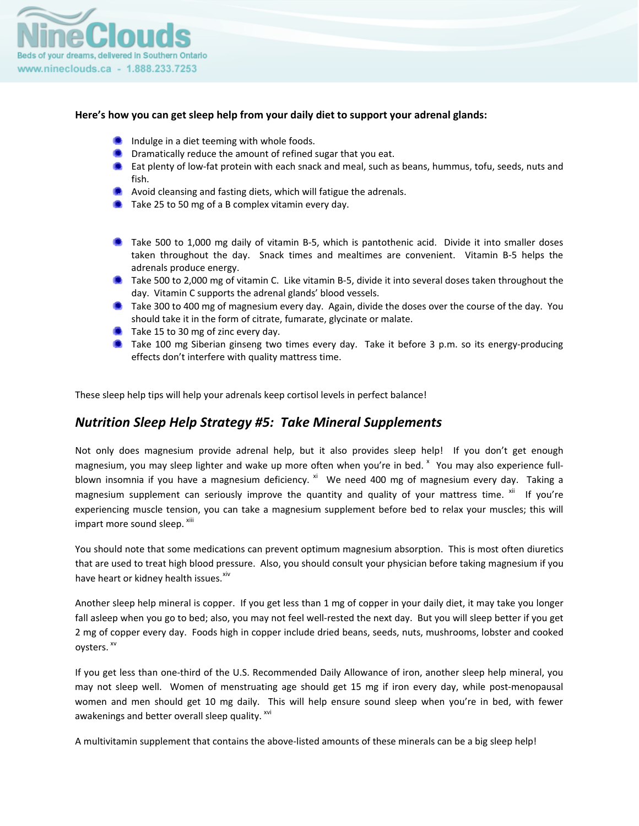

## **Here's how you can get sleep help from your daily diet to support your adrenal glands:**

- **Indulge in a diet teeming with whole foods.**
- **Dramatically reduce the amount of refined sugar that you eat.**
- Eat plenty of low-fat protein with each snack and meal, such as beans, hummus, tofu, seeds, nuts and fish.
- **A** Avoid cleansing and fasting diets, which will fatigue the adrenals.
- **Take 25 to 50 mg of a B complex vitamin every day.**
- **C** Take 500 to 1,000 mg daily of vitamin B-5, which is pantothenic acid. Divide it into smaller doses taken throughout the day. Snack times and mealtimes are convenient. Vitamin B-5 helps the adrenals produce energy.
- Take 500 to 2,000 mg of vitamin C. Like vitamin B-5, divide it into several doses taken throughout the day. Vitamin C supports the adrenal glands' blood vessels.
- **Take 300 to 400 mg of magnesium every day. Again, divide the doses over the course of the day. You** should take it in the form of citrate, fumarate, glycinate or malate.
- **Take 15 to 30 mg of zinc every day.**
- Take 100 mg Siberian ginseng two times every day. Take it before 3 p.m. so its energy-producing effects don't interfere with quality mattress time.

These sleep help tips will help your adrenals keep cortisol levels in perfect balance!

## *Nutrition Sleep Help Strategy #5: Take Mineral Supplements*

Not only does magnesium provide adrenal help, but it also provides sleep help! If you don't get enough magnesium, you may sleep lighter and wake up more often when you're in bed.  $^{\text{x}}$  $^{\text{x}}$  $^{\text{x}}$  You may also experience fullblown insomnia if you have a magnesium deficiency. <sup>[xi](#page-5-1)</sup> We need 400 mg of magnesium every day. Taking a magnesium supplement can seriously improve the quantity and quality of your mattress time.  $x$ <sup>ii</sup> If [you're](#page-5-1) [experiencing](#page-5-1) muscle tension, you can take a magnesium supplement before bed to relax your muscles; this will [impart](#page-5-1) more sound sleep.  $^{xiii}$ 

You should note that some medications can prevent optimum magnesium absorption. This is most often diuretics that are used to treat high blood pressure. Also, you should consult your physician before taking magnesium if you have heart or kidney health issues. [xiv](#page-5-1)

Another sleep help mineral is copper. If you get less than 1 mg of copper in your daily diet, it may take you longer fall asleep when you go to bed; also, you may not feel well-rested the next day. But you will sleep better if you get 2 mg of copper every day. Foods high in copper include dried beans, seeds, nuts, mushrooms, lobster and cooked ovsters.<sup>[xv](#page-5-1)</sup>

If you get less than one‐third of the U.S. Recommended Daily Allowance of iron, another sleep help mineral, you may not sleep well. Women of menstruating age should get 15 mg if iron every day, while post-menopausal women and men should get 10 mg daily. This will help ensure sound sleep when you're in bed, with fewer awakenings and better overall sleep quality. <sup>[xvi](#page-5-1)</sup>

A multivitamin supplement that contains the above-listed amounts of these minerals can be a big sleep help!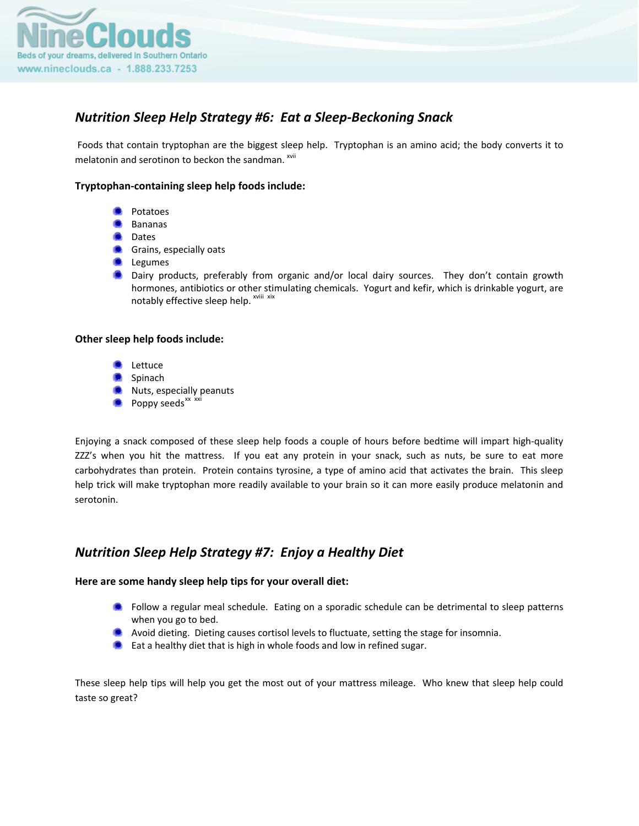

# *Nutrition Sleep Help Strategy #6: Eat a Sleep‐Beckoning Snack*

Foods that contain tryptophan are the biggest sleep help. Tryptophan is an amino acid; the body converts it to melatonin and serotinon to beckon the sandman.<sup>[xvii](#page-5-1)</sup>

### **Tryptophan‐containing sleep help foods include:**

- **Potatoes**
- **Bananas**
- **Dates**
- Grains, especially oats
- **Legumes**
- **Dairy products, preferably from organic and/or local dairy sources. They don't contain growth** hormones, antibiotics or other stimulating chemicals. Yogurt and kefir, which is drinkable yogurt, are notably effective sleep help. [xviii](#page-5-1) [xix](#page-5-1)

#### **Other sleep help foods include:**

- **Lettuce**
- Spinach
- Nuts, especially peanuts
- Poppy seeds<sup>[xx](#page-5-1)</sup> xx

Enjoying a snack composed of these sleep help foods a couple of hours before bedtime will impart high‐quality ZZZ's when you hit the mattress. If you eat any protein in your snack, such as nuts, be sure to eat more carbohydrates than protein. Protein contains tyrosine, a type of amino acid that activates the brain. This sleep help trick will make tryptophan more readily available to your brain so it can more easily produce melatonin and serotonin.

## *Nutrition Sleep Help Strategy #7: Enjoy a Healthy Diet*

#### **Here are some handy sleep help tips for your overall diet:**

- **B** Follow a regular meal schedule. Eating on a sporadic schedule can be detrimental to sleep patterns when you go to bed.
- Avoid dieting. Dieting causes cortisol levels to fluctuate, setting the stage for insomnia.
- **Eat a healthy diet that is high in whole foods and low in refined sugar.**

These sleep help tips will help you get the most out of your mattress mileage. Who knew that sleep help could taste so great?